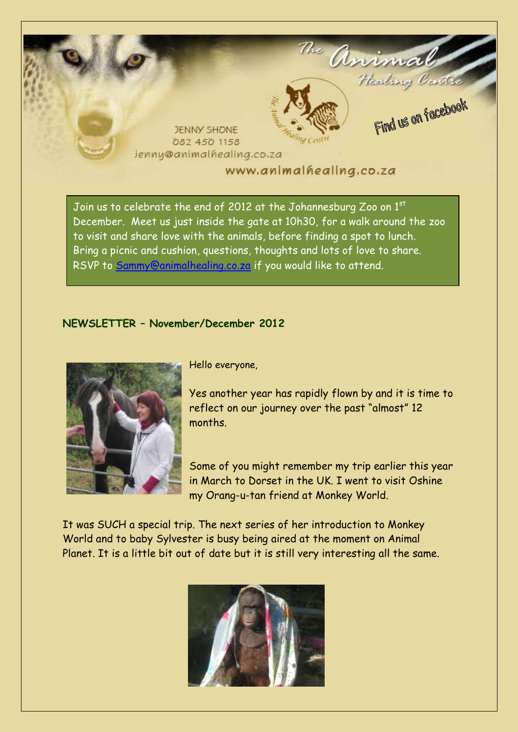

Join us to celebrate the end of 2012 at the Johannesburg Zoo on 1st December. Meet us just inside the gate at 10h30, for a walk around the zoo to visit and share love with the animals, before finding a spot to lunch. Bring a picnic and cushion, questions, thoughts and lots of love to share. RSVP to [Sammy@animalhealing.co.za](mailto:Sammy@animalhealing.co.za) if you would like to attend.

## **NEWSLETTER – November/December 2012**



Hello everyone,

Yes another year has rapidly flown by and it is time to reflect on our journey over the past "almost" 12 months.

Some of you might remember my trip earlier this year in March to Dorset in the UK. I went to visit Oshine my Orang-u-tan friend at Monkey World.

It was SUCH a special trip. The next series of her introduction to Monkey World and to baby Sylvester is busy being aired at the moment on Animal Planet. It is a little bit out of date but it is still very interesting all the same.

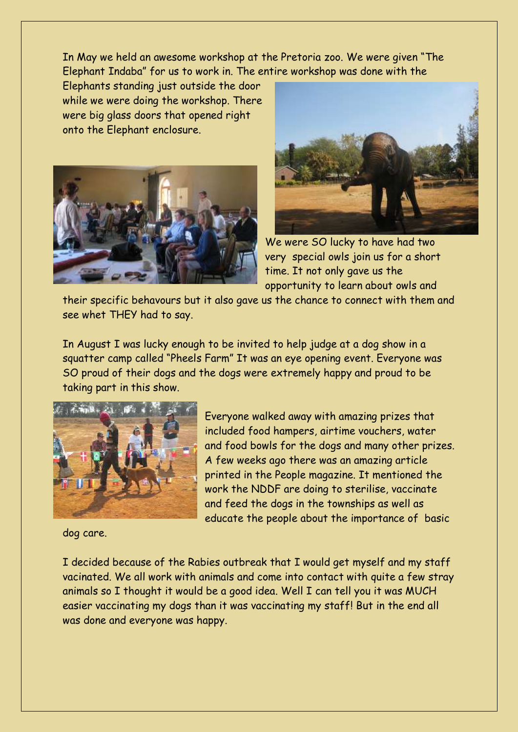In May we held an awesome workshop at the Pretoria zoo. We were given "The Elephant Indaba" for us to work in. The entire workshop was done with the

Elephants standing just outside the door while we were doing the workshop. There were big glass doors that opened right onto the Elephant enclosure.





We were SO lucky to have had two very special owls join us for a short time. It not only gave us the opportunity to learn about owls and

their specific behavours but it also gave us the chance to connect with them and see whet THEY had to say.

In August I was lucky enough to be invited to help judge at a dog show in a squatter camp called "Pheels Farm" It was an eye opening event. Everyone was SO proud of their dogs and the dogs were extremely happy and proud to be taking part in this show.



Everyone walked away with amazing prizes that included food hampers, airtime vouchers, water and food bowls for the dogs and many other prizes. A few weeks ago there was an amazing article printed in the People magazine. It mentioned the work the NDDF are doing to sterilise, vaccinate and feed the dogs in the townships as well as educate the people about the importance of basic

dog care.

I decided because of the Rabies outbreak that I would get myself and my staff vacinated. We all work with animals and come into contact with quite a few stray animals so I thought it would be a good idea. Well I can tell you it was MUCH easier vaccinating my dogs than it was vaccinating my staff! But in the end all was done and everyone was happy.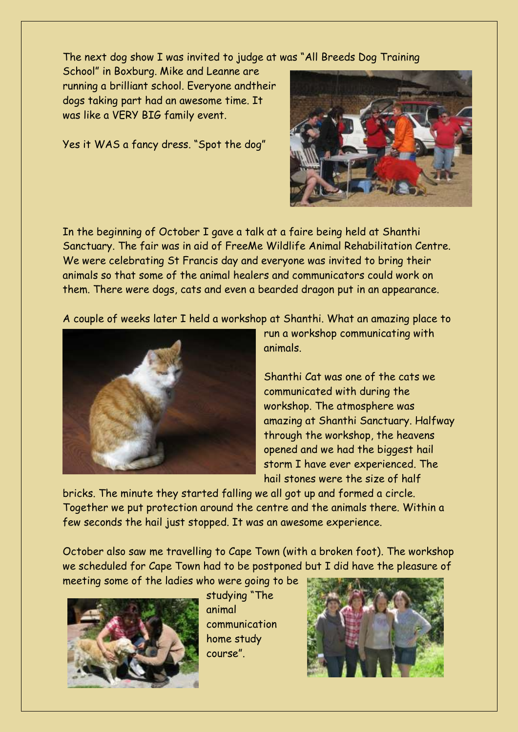The next dog show I was invited to judge at was "All Breeds Dog Training

School" in Boxburg. Mike and Leanne are running a brilliant school. Everyone andtheir dogs taking part had an awesome time. It was like a VERY BIG family event.

Yes it WAS a fancy dress. "Spot the dog"



In the beginning of October I gave a talk at a faire being held at Shanthi Sanctuary. The fair was in aid of FreeMe Wildlife Animal Rehabilitation Centre. We were celebrating St Francis day and everyone was invited to bring their animals so that some of the animal healers and communicators could work on them. There were dogs, cats and even a bearded dragon put in an appearance.

A couple of weeks later I held a workshop at Shanthi. What an amazing place to



run a workshop communicating with animals.

Shanthi Cat was one of the cats we communicated with during the workshop. The atmosphere was amazing at Shanthi Sanctuary. Halfway through the workshop, the heavens opened and we had the biggest hail storm I have ever experienced. The hail stones were the size of half

bricks. The minute they started falling we all got up and formed a circle. Together we put protection around the centre and the animals there. Within a few seconds the hail just stopped. It was an awesome experience.

October also saw me travelling to Cape Town (with a broken foot). The workshop we scheduled for Cape Town had to be postponed but I did have the pleasure of meeting some of the ladies who were going to be



studying "The animal communication home study course".

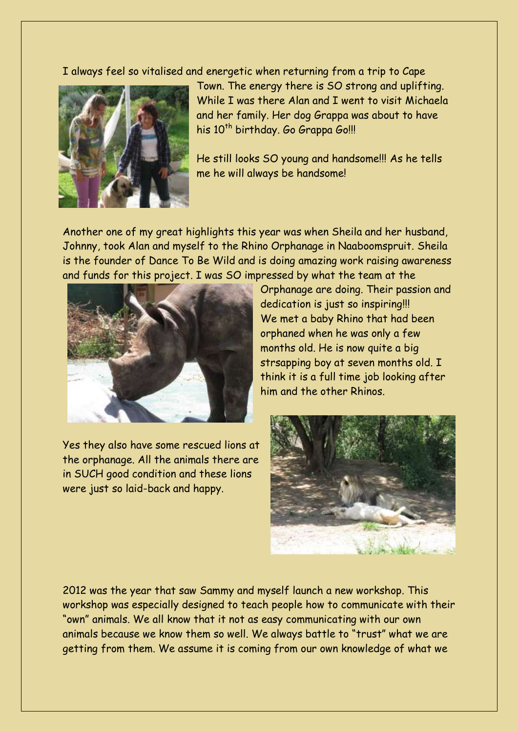I always feel so vitalised and energetic when returning from a trip to Cape



Town. The energy there is SO strong and uplifting. While I was there Alan and I went to visit Michaela and her family. Her dog Grappa was about to have his 10<sup>th</sup> birthday. Go Grappa Go!!!

He still looks SO young and handsome!!! As he tells me he will always be handsome!

Another one of my great highlights this year was when Sheila and her husband, Johnny, took Alan and myself to the Rhino Orphanage in Naaboomspruit. Sheila is the founder of Dance To Be Wild and is doing amazing work raising awareness and funds for this project. I was SO impressed by what the team at the



Orphanage are doing. Their passion and dedication is just so inspiring!!! We met a baby Rhino that had been orphaned when he was only a few months old. He is now quite a big strsapping boy at seven months old. I think it is a full time job looking after him and the other Rhinos.

Yes they also have some rescued lions at the orphanage. All the animals there are in SUCH good condition and these lions were just so laid-back and happy.



2012 was the year that saw Sammy and myself launch a new workshop. This workshop was especially designed to teach people how to communicate with their "own" animals. We all know that it not as easy communicating with our own animals because we know them so well. We always battle to "trust" what we are getting from them. We assume it is coming from our own knowledge of what we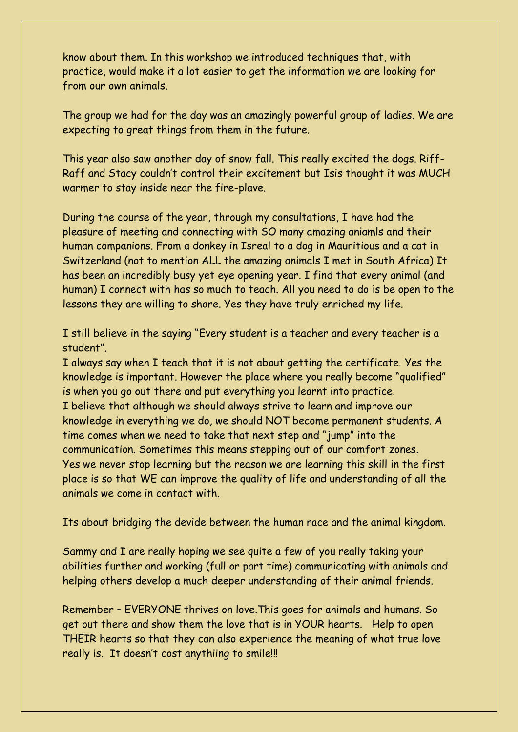know about them. In this workshop we introduced techniques that, with practice, would make it a lot easier to get the information we are looking for from our own animals.

The group we had for the day was an amazingly powerful group of ladies. We are expecting to great things from them in the future.

This year also saw another day of snow fall. This really excited the dogs. Riff-Raff and Stacy couldn't control their excitement but Isis thought it was MUCH warmer to stay inside near the fire-plave.

During the course of the year, through my consultations, I have had the pleasure of meeting and connecting with SO many amazing aniamls and their human companions. From a donkey in Isreal to a dog in Mauritious and a cat in Switzerland (not to mention ALL the amazing animals I met in South Africa) It has been an incredibly busy yet eye opening year. I find that every animal (and human) I connect with has so much to teach. All you need to do is be open to the lessons they are willing to share. Yes they have truly enriched my life.

I still believe in the saying "Every student is a teacher and every teacher is a student".

I always say when I teach that it is not about getting the certificate. Yes the knowledge is important. However the place where you really become "qualified" is when you go out there and put everything you learnt into practice. I believe that although we should always strive to learn and improve our knowledge in everything we do, we should NOT become permanent students. A time comes when we need to take that next step and "jump" into the communication. Sometimes this means stepping out of our comfort zones. Yes we never stop learning but the reason we are learning this skill in the first place is so that WE can improve the quality of life and understanding of all the animals we come in contact with.

Its about bridging the devide between the human race and the animal kingdom.

Sammy and I are really hoping we see quite a few of you really taking your abilities further and working (full or part time) communicating with animals and helping others develop a much deeper understanding of their animal friends.

Remember – EVERYONE thrives on love.This goes for animals and humans. So get out there and show them the love that is in YOUR hearts. Help to open THEIR hearts so that they can also experience the meaning of what true love really is. It doesn't cost anythiing to smile!!!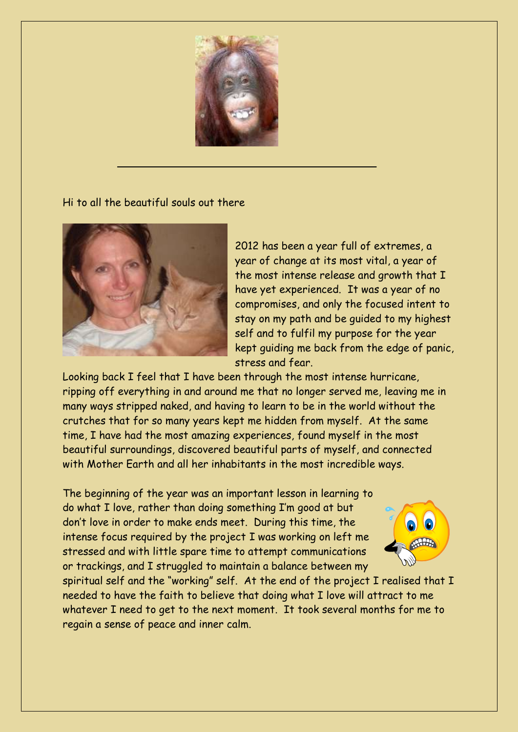

Hi to all the beautiful souls out there



2012 has been a year full of extremes, a year of change at its most vital, a year of the most intense release and growth that I have yet experienced. It was a year of no compromises, and only the focused intent to stay on my path and be guided to my highest self and to fulfil my purpose for the year kept guiding me back from the edge of panic, stress and fear.

Looking back I feel that I have been through the most intense hurricane, ripping off everything in and around me that no longer served me, leaving me in many ways stripped naked, and having to learn to be in the world without the crutches that for so many years kept me hidden from myself. At the same time, I have had the most amazing experiences, found myself in the most beautiful surroundings, discovered beautiful parts of myself, and connected with Mother Earth and all her inhabitants in the most incredible ways.

The beginning of the year was an important lesson in learning to do what I love, rather than doing something I'm good at but don't love in order to make ends meet. During this time, the intense focus required by the project I was working on left me stressed and with little spare time to attempt communications or trackings, and I struggled to maintain a balance between my



spiritual self and the "working" self. At the end of the project I realised that I needed to have the faith to believe that doing what I love will attract to me whatever I need to get to the next moment. It took several months for me to regain a sense of peace and inner calm.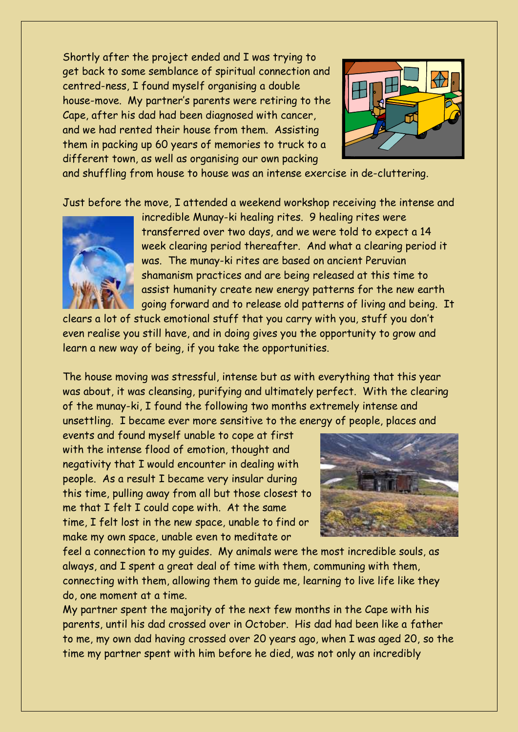Shortly after the project ended and I was trying to get back to some semblance of spiritual connection and centred-ness, I found myself organising a double house-move. My partner's parents were retiring to the Cape, after his dad had been diagnosed with cancer, and we had rented their house from them. Assisting them in packing up 60 years of memories to truck to a different town, as well as organising our own packing



and shuffling from house to house was an intense exercise in de-cluttering.

Just before the move, I attended a weekend workshop receiving the intense and



incredible Munay-ki healing rites. 9 healing rites were transferred over two days, and we were told to expect a 14 week clearing period thereafter. And what a clearing period it was. The munay-ki rites are based on ancient Peruvian shamanism practices and are being released at this time to assist humanity create new energy patterns for the new earth going forward and to release old patterns of living and being. It

clears a lot of stuck emotional stuff that you carry with you, stuff you don't even realise you still have, and in doing gives you the opportunity to grow and learn a new way of being, if you take the opportunities.

The house moving was stressful, intense but as with everything that this year was about, it was cleansing, purifying and ultimately perfect. With the clearing of the munay-ki, I found the following two months extremely intense and unsettling. I became ever more sensitive to the energy of people, places and

events and found myself unable to cope at first with the intense flood of emotion, thought and negativity that I would encounter in dealing with people. As a result I became very insular during this time, pulling away from all but those closest to me that I felt I could cope with. At the same time, I felt lost in the new space, unable to find or make my own space, unable even to meditate or



feel a connection to my guides. My animals were the most incredible souls, as always, and I spent a great deal of time with them, communing with them, connecting with them, allowing them to guide me, learning to live life like they do, one moment at a time.

My partner spent the majority of the next few months in the Cape with his parents, until his dad crossed over in October. His dad had been like a father to me, my own dad having crossed over 20 years ago, when I was aged 20, so the time my partner spent with him before he died, was not only an incredibly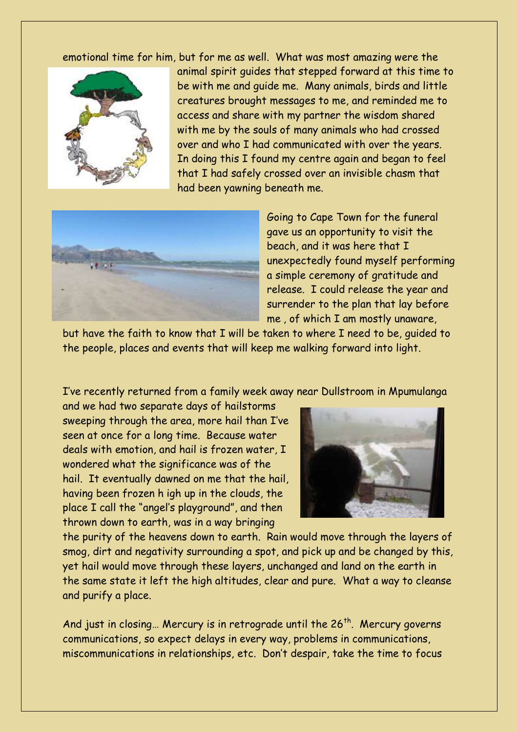emotional time for him, but for me as well. What was most amazing were the



animal spirit guides that stepped forward at this time to be with me and guide me. Many animals, birds and little creatures brought messages to me, and reminded me to access and share with my partner the wisdom shared with me by the souls of many animals who had crossed over and who I had communicated with over the years. In doing this I found my centre again and began to feel that I had safely crossed over an invisible chasm that had been yawning beneath me.



Going to Cape Town for the funeral gave us an opportunity to visit the beach, and it was here that I unexpectedly found myself performing a simple ceremony of gratitude and release. I could release the year and surrender to the plan that lay before me , of which I am mostly unaware,

but have the faith to know that I will be taken to where I need to be, guided to the people, places and events that will keep me walking forward into light.

I've recently returned from a family week away near Dullstroom in Mpumulanga

and we had two separate days of hailstorms sweeping through the area, more hail than I've seen at once for a long time. Because water deals with emotion, and hail is frozen water, I wondered what the significance was of the hail. It eventually dawned on me that the hail, having been frozen h igh up in the clouds, the place I call the "angel's playground", and then thrown down to earth, was in a way bringing



the purity of the heavens down to earth. Rain would move through the layers of smog, dirt and negativity surrounding a spot, and pick up and be changed by this, yet hail would move through these layers, unchanged and land on the earth in the same state it left the high altitudes, clear and pure. What a way to cleanse and purify a place.

And just in closing... Mercury is in retrograde until the  $26^{th}$ . Mercury governs communications, so expect delays in every way, problems in communications, miscommunications in relationships, etc. Don't despair, take the time to focus